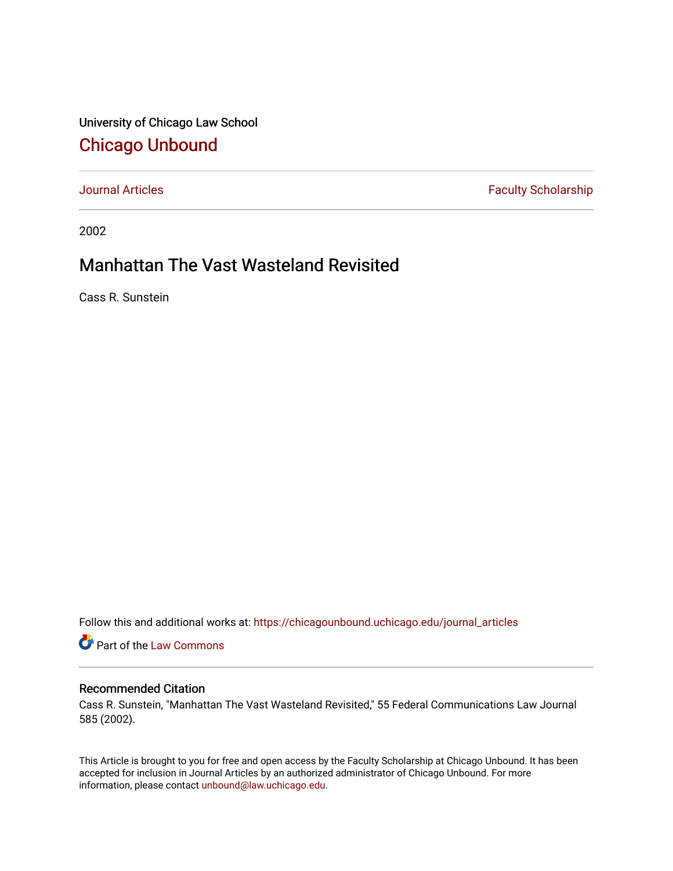University of Chicago Law School [Chicago Unbound](https://chicagounbound.uchicago.edu/)

[Journal Articles](https://chicagounbound.uchicago.edu/journal_articles) **Faculty Scholarship Faculty Scholarship** 

2002

## Manhattan The Vast Wasteland Revisited

Cass R. Sunstein

Follow this and additional works at: [https://chicagounbound.uchicago.edu/journal\\_articles](https://chicagounbound.uchicago.edu/journal_articles?utm_source=chicagounbound.uchicago.edu%2Fjournal_articles%2F8457&utm_medium=PDF&utm_campaign=PDFCoverPages) 

**C** Part of the [Law Commons](http://network.bepress.com/hgg/discipline/578?utm_source=chicagounbound.uchicago.edu%2Fjournal_articles%2F8457&utm_medium=PDF&utm_campaign=PDFCoverPages)

### Recommended Citation

Cass R. Sunstein, "Manhattan The Vast Wasteland Revisited," 55 Federal Communications Law Journal 585 (2002).

This Article is brought to you for free and open access by the Faculty Scholarship at Chicago Unbound. It has been accepted for inclusion in Journal Articles by an authorized administrator of Chicago Unbound. For more information, please contact [unbound@law.uchicago.edu](mailto:unbound@law.uchicago.edu).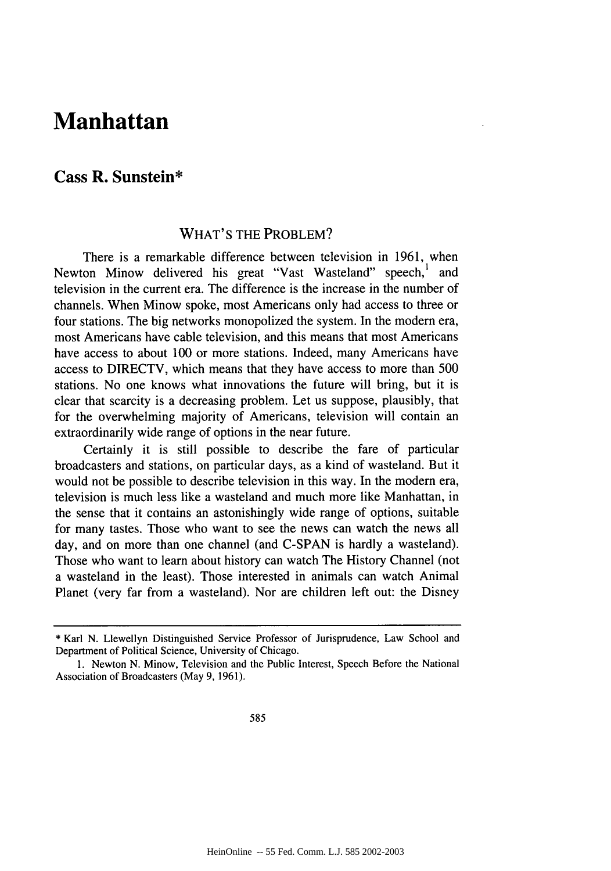# **Manhattan**

## **Cass R. Sunstein\***

### WHAT'S THE PROBLEM?

There is a remarkable difference between television in **1961,** when Newton Minow delivered his great "Vast Wasteland" speech,<sup>1</sup> and television in the current era. The difference is the increase in the number of channels. When Minow spoke, most Americans only had access to three or four stations. The big networks monopolized the system. In the modern era, most Americans have cable television, and this means that most Americans have access to about **100** or more stations. Indeed, many Americans have access to DIRECTV, which means that they have access to more than **500** stations. No one knows what innovations the future will bring, but it is clear that scarcity is a decreasing problem. Let us suppose, plausibly, that for the overwhelming majority of Americans, television will contain an extraordinarily wide range of options in the near future.

Certainly it is still possible to describe the fare of particular broadcasters and stations, on particular days, as a kind of wasteland. But it would not be possible to describe television in this way. In the modem era, television is much less like a wasteland and much more like Manhattan, in the sense that it contains an astonishingly wide range of options, suitable for many tastes. Those who want to see the news can watch the news all day, and on more than one channel (and **C-SPAN** is hardly a wasteland). Those who want to learn about history can watch The History Channel (not a wasteland in the least). Those interested in animals can watch Animal Planet (very far from a wasteland). Nor are children left out: the Disney

**<sup>\*</sup>** Karl **N.** Llewellyn Distinguished Service Professor of Jurisprudence, Law School and Department of Political Science, University of Chicago.

**<sup>1.</sup>** Newton **N.** Minow, Television and the Public Interest, Speech Before the National Association of Broadcasters (May **9, 1961).**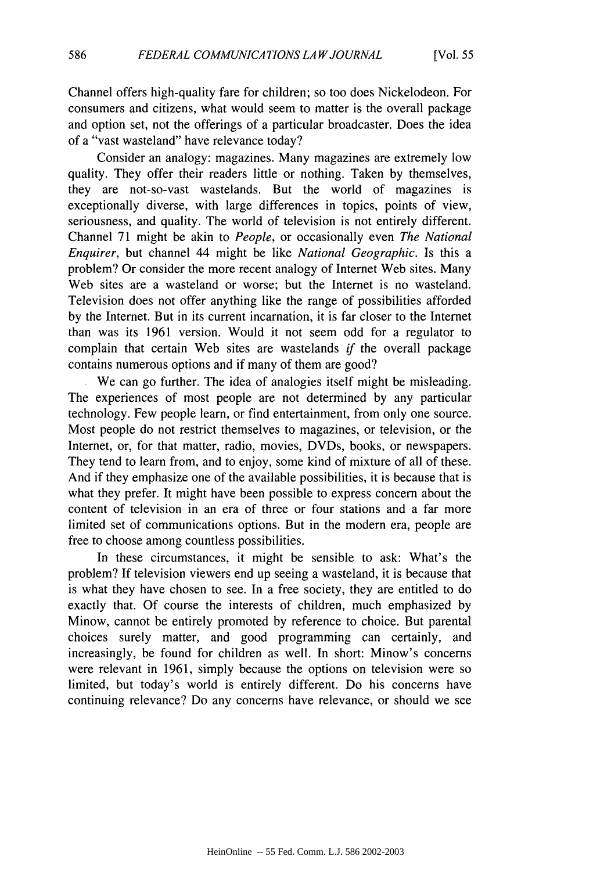Channel offers high-quality fare for children; so too does Nickelodeon. For consumers and citizens, what would seem to matter is the overall package and option set, not the offerings of a particular broadcaster. Does the idea of a "vast wasteland" have relevance today?

Consider an analogy: magazines. Many magazines are extremely low quality. They offer their readers little or nothing. Taken by themselves, they are not-so-vast wastelands. But the world of magazines is exceptionally diverse, with large differences in topics, points of view, seriousness, and quality. The world of television is not entirely different. Channel 71 might be akin to *People,* or occasionally even *The National Enquirer,* but channel 44 might be like *National Geographic.* Is this a problem? Or consider the more recent analogy of Internet Web sites. Many Web sites are a wasteland or worse; but the Internet is no wasteland. Television does not offer anything like the range of possibilities afforded by the Internet. But in its current incarnation, it is far closer to the Internet than was its 1961 version. Would it not seem odd for a regulator to complain that certain Web sites are wastelands *if* the overall package contains numerous options and if many of them are good?

We can go further. The idea of analogies itself might be misleading. The experiences of most people are not determined by any particular technology. Few people learn, or find entertainment, from only one source. Most people do not restrict themselves to magazines, or television, or the Internet, or, for that matter, radio, movies, DVDs, books, or newspapers. They tend to learn from, and to enjoy, some kind of mixture of all of these. And if they emphasize one of the available possibilities, it is because that is what they prefer. It might have been possible to express concern about the content of television in an era of three or four stations and a far more limited set of communications options. But in the modern era, people are free to choose among countless possibilities.

In these circumstances, it might be sensible to ask: What's the problem? If television viewers end up seeing a wasteland, it is because that is what they have chosen to see. In a free society, they are entitled to do exactly that. Of course the interests of children, much emphasized by Minow, cannot be entirely promoted by reference to choice. But parental choices surely matter, and good programming can certainly, and increasingly, be found for children as well. In short: Minow's concerns were relevant in 1961, simply because the options on television were so limited, but today's world is entirely different. Do his concerns have continuing relevance? Do any concerns have relevance, or should we see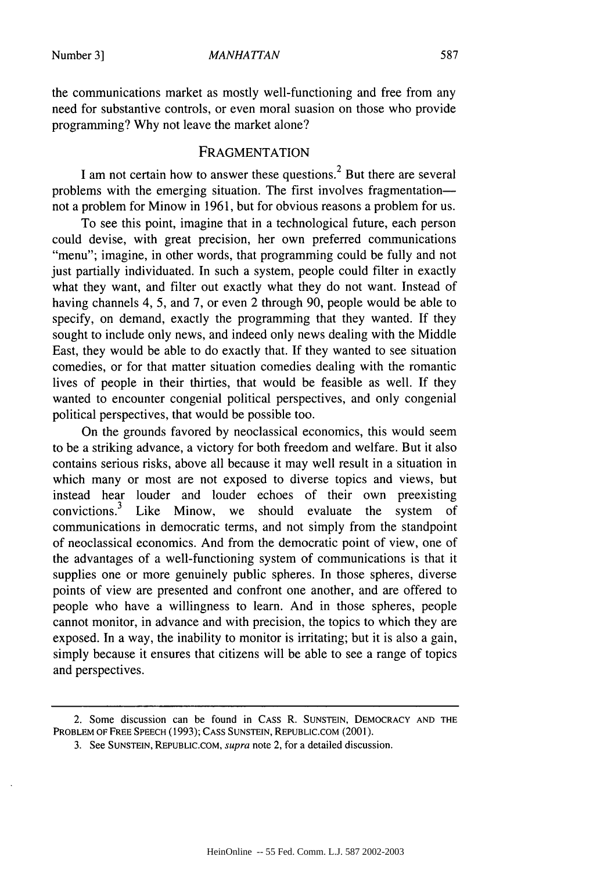the communications market as mostly well-functioning and free from any need for substantive controls, or even moral suasion on those who provide programming? Why not leave the market alone?

#### **FRAGMENTATION**

I am not certain how to answer these questions.<sup>2</sup> But there are several problems with the emerging situation. The first involves fragmentationnot a problem for Minow in 1961, but for obvious reasons a problem for us.

To see this point, imagine that in a technological future, each person could devise, with great precision, her own preferred communications "menu"; imagine, in other words, that programming could be fully and not just partially individuated. In such a system, people could filter in exactly what they want, and filter out exactly what they do not want. Instead of having channels 4, 5, and 7, or even 2 through 90, people would be able to specify, on demand, exactly the programming that they wanted. If they sought to include only news, and indeed only news dealing with the Middle East, they would be able to do exactly that. If they wanted to see situation comedies, or for that matter situation comedies dealing with the romantic lives of people in their thirties, that would be feasible as well. If they wanted to encounter congenial political perspectives, and only congenial political perspectives, that would be possible too.

On the grounds favored by neoclassical economics, this would seem to be a striking advance, a victory for both freedom and welfare. But it also contains serious risks, above all because it may well result in a situation in which many or most are not exposed to diverse topics and views, but instead hear louder and louder echoes of their own preexisting convictions.<sup>3</sup> Like Minow, we should evaluate the system of communications in democratic terms, and not simply from the standpoint of neoclassical economics. And from the democratic point of view, one of the advantages of a well-functioning system of communications is that it supplies one or more genuinely public spheres. In those spheres, diverse points of view are presented and confront one another, and are offered to people who have a willingness to learn. And in those spheres, people cannot monitor, in advance and with precision, the topics to which they are exposed. In a way, the inability to monitor is irritating; but it is also a gain, simply because it ensures that citizens will be able to see a range of topics and perspectives.

<sup>2.</sup> Some discussion can be found in CASS R. **SUNSTEIN,** DEMOCRACY **AND** THE PROBLEM OF FREE SPEECH **(1993); CASS SUNSTEIN, REPUBLIC.COM** (2001).

<sup>3.</sup> See **SUNSTEIN,** REPUBLIC.COM, supra note 2, for a detailed discussion.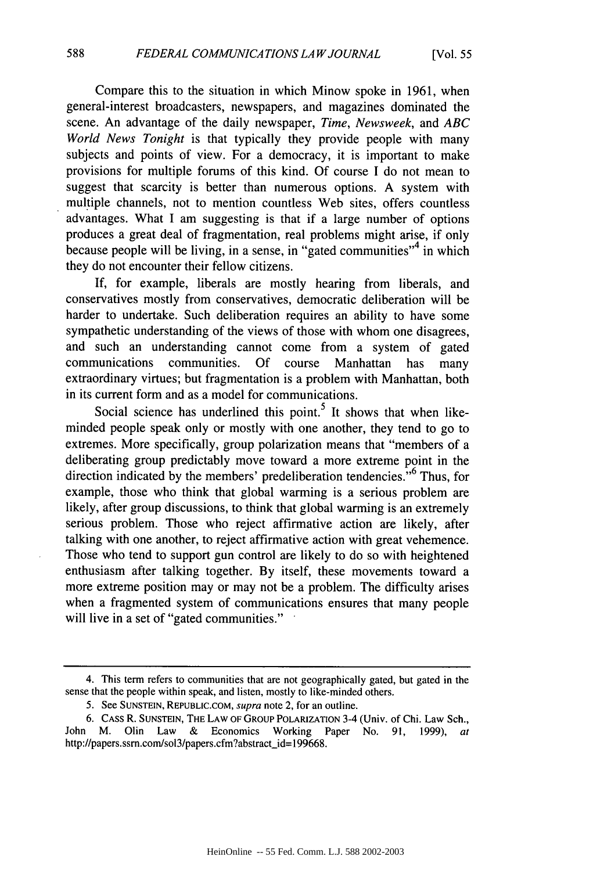Compare this to the situation in which Minow spoke in 1961, when general-interest broadcasters, newspapers, and magazines dominated the scene. An advantage of the daily newspaper, *Time, Newsweek,* and *ABC World News Tonight* is that typically they provide people with many subjects and points of view. For a democracy, it is important to make provisions for multiple forums of this kind. Of course I do not mean to suggest that scarcity is better than numerous options. A system with multiple channels, not to mention countless Web sites, offers countless advantages. What I am suggesting is that if a large number of options produces a great deal of fragmentation, real problems might arise, if only because people will be living, in a sense, in "gated communities"<sup>4</sup> in which they do not encounter their fellow citizens.

If, for example, liberals are mostly hearing from liberals, and conservatives mostly from conservatives, democratic deliberation will be harder to undertake. Such deliberation requires an ability to have some sympathetic understanding of the views of those with whom one disagrees, and such an understanding cannot come from a system of gated communications communities. Of course Manhattan has many extraordinary virtues; but fragmentation is a problem with Manhattan, both in its current form and as a model for communications.

Social science has underlined this point.<sup>5</sup> It shows that when likeminded people speak only or mostly with one another, they tend to go to extremes. More specifically, group polarization means that "members of a deliberating group predictably move toward a more extreme point in the direction indicated by the members' predeliberation tendencies."<sup>6</sup> Thus, for example, those who think that global warming is a serious problem are likely, after group discussions, to think that global warming is an extremely serious problem. Those who reject affirmative action are likely, after talking with one another, to reject affirmative action with great vehemence. Those who tend to support gun control are likely to do so with heightened enthusiasm after talking together. By itself, these movements toward a more extreme position may or may not be a problem. The difficulty arises when a fragmented system of communications ensures that many people will live in a set of "gated communities."

<sup>4.</sup> This term refers to communities that are not geographically gated, but gated in the sense that the people within speak, and listen, mostly to like-minded others.

<sup>5.</sup> See SUNSTEIN, REPUBLIC.COM, *supra* note 2, for an outline.

<sup>6.</sup> CAss R. SUNSTEIN, THE LAW OF GROUP POLARIZATION 3-4 (Univ. of Chi. Law Sch., John M. Olin Law & Economics Working Paper No. 91, 1999), *at* http://papers.ssrn.com/sol3/papers.cfm?abstract\_id=199668.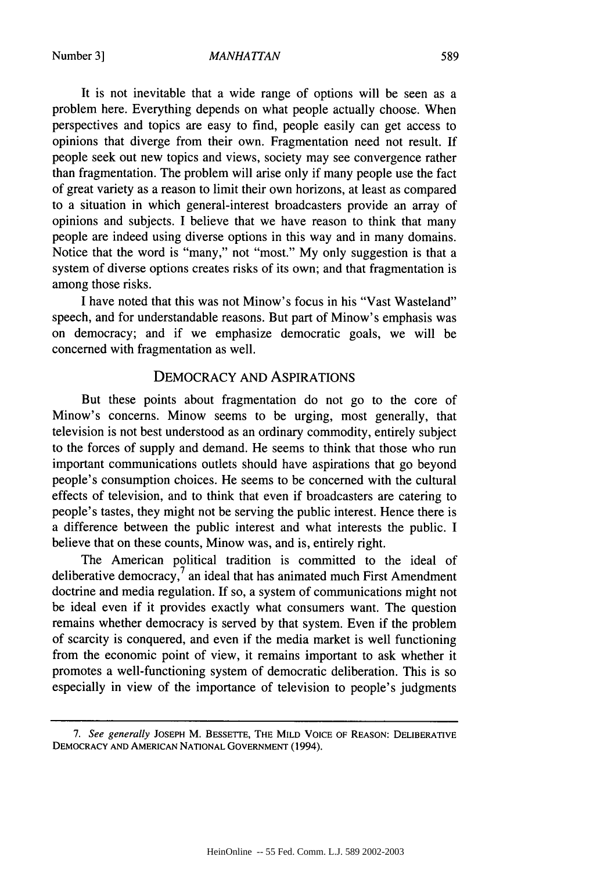#### *MANHA TAN*

It is not inevitable that a wide range of options will be seen as a problem here. Everything depends on what people actually choose. When perspectives and topics are easy to find, people easily can get access to opinions that diverge from their own. Fragmentation need not result. If people seek out new topics and views, society may see convergence rather than fragmentation. The problem will arise only if many people use the fact of great variety as a reason to limit their own horizons, at least as compared to a situation in which general-interest broadcasters provide an array of opinions and subjects. I believe that we have reason to think that many people are indeed using diverse options in this way and in many domains. Notice that the word is "many," not "most." My only suggestion is that a system of diverse options creates risks of its own; and that fragmentation is among those risks.

I have noted that this was not Minow's focus in his "Vast Wasteland" speech, and for understandable reasons. But part of Minow's emphasis was on democracy; and if we emphasize democratic goals, we will be concerned with fragmentation as well.

### DEMOCRACY AND ASPIRATIONS

But these points about fragmentation do not go to the core of Minow's concerns. Minow seems to be urging, most generally, that television is not best understood as an ordinary commodity, entirely subject to the forces of supply and demand. He seems to think that those who run important communications outlets should have aspirations that go beyond people's consumption choices. He seems to be concerned with the cultural effects of television, and to think that even if broadcasters are catering to people's tastes, they might not be serving the public interest. Hence there is a difference between the public interest and what interests the public. I believe that on these counts, Minow was, and is, entirely right.

The American political tradition is committed to the ideal of deliberative democracy, $\frac{7}{4}$  an ideal that has animated much First Amendment doctrine and media regulation. If so, a system of communications might not be ideal even if it provides exactly what consumers want. The question remains whether democracy is served by that system. Even if the problem of scarcity is conquered, and even if the media market is well functioning from the economic point of view, it remains important to ask whether it promotes a well-functioning system of democratic deliberation. This is so especially in view of the importance of television to people's judgments

*<sup>7.</sup> See generally* **JOSEPH** M. BESSETTE, THE MILD VOICE OF **REASON:** DELIBERATIVE DEMOCRACY **AND** AMERICAN **NATIONAL GOVERNMENT** (1994).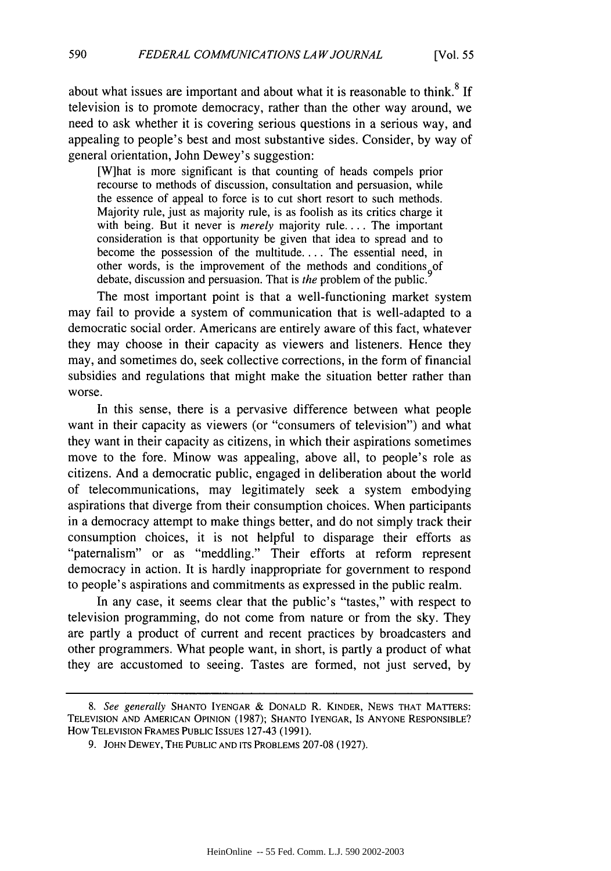about what issues are important and about what it is reasonable to think.<sup>8</sup> If television is to promote democracy, rather than the other way around, we need to ask whether it is covering serious questions in a serious way, and appealing to people's best and most substantive sides. Consider, by way of general orientation, John Dewey's suggestion:

[W]hat is more significant is that counting of heads compels prior recourse to methods of discussion, consultation and persuasion, while the essence of appeal to force is to cut short resort to such methods. Majority rule, just as majority rule, is as foolish as its critics charge it with being. But it never is *merely* majority rule.... The important consideration is that opportunity be given that idea to spread and to become the possession of the multitude.... The essential need, in other words, is the improvement of the methods and conditions of debate, discussion and persuasion. That is *the* problem of the public.

The most important point is that a well-functioning market system may fail to provide a system of communication that is well-adapted to a democratic social order. Americans are entirely aware of this fact, whatever they may choose in their capacity as viewers and listeners. Hence they may, and sometimes do, seek collective corrections, in the form of financial subsidies and regulations that might make the situation better rather than worse.

In this sense, there is a pervasive difference between what people want in their capacity as viewers (or "consumers of television") and what they want in their capacity as citizens, in which their aspirations sometimes move to the fore. Minow was appealing, above all, to people's role as citizens. And a democratic public, engaged in deliberation about the world of telecommunications, may legitimately seek a system embodying aspirations that diverge from their consumption choices. When participants in a democracy attempt to make things better, and do not simply track their consumption choices, it is not helpful to disparage their efforts as "paternalism" or as "meddling." Their efforts at reform represent democracy in action. It is hardly inappropriate for government to respond to people's aspirations and commitments as expressed in the public realm.

In any case, it seems clear that the public's "tastes," with respect to television programming, do not come from nature or from the sky. They are partly a product of current and recent practices by broadcasters and other programmers. What people want, in short, is partly a product of what they are accustomed to seeing. Tastes are formed, not just served, by

*<sup>8.</sup> See generally* **SHANTO** IYENGAR & **DONALD** R. KINDER, **NEWS** THAT MATTERS: **TELEVISION AND AMERICAN OPINION** (1987); **SHANTO** IYENGAR, Is **ANYONE** RESPONSIBLE? How **TELEVISION** FRAMES **PUBLIC ISSUES** 127-43 (1991).

<sup>9.</sup> **JOHN** DEWEY, THE **PUBLIC AND ITS** PROBLEMS 207-08 (1927).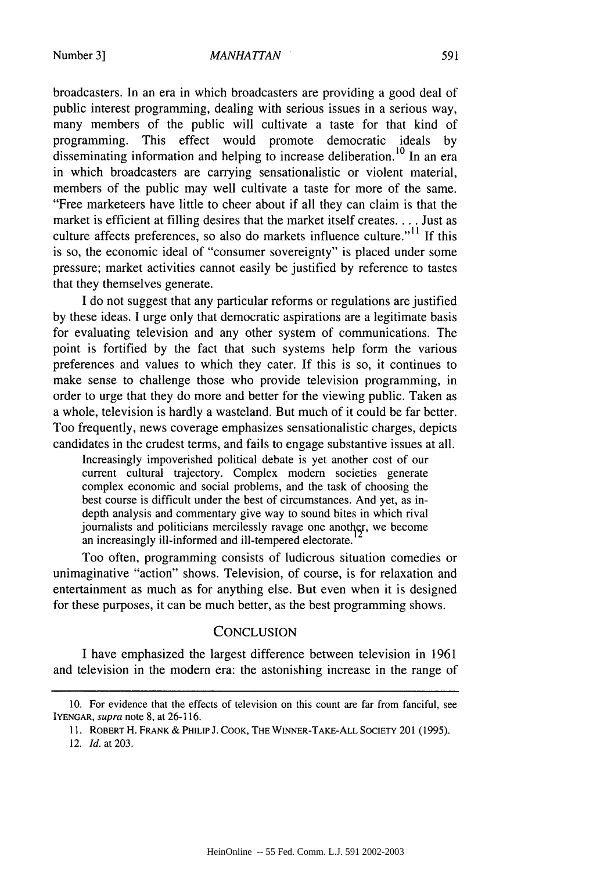#### *MANHATTAN*

broadcasters. In an era in which broadcasters are providing a good deal of public interest programming, dealing with serious issues in a serious way, many members of the public will cultivate a taste for that kind of programming. This effect would promote democratic ideals by disseminating information and helping to increase deliberation. **10** In an era in which broadcasters are carrying sensationalistic or violent material, members of the public may well cultivate a taste for more of the same. "Free marketeers have little to cheer about if all they can claim is that the market is efficient at filling desires that the market itself creates **...** Just as culture affects preferences, so also do markets influence culture."<sup>11</sup> If this is so, the economic ideal of "consumer sovereignty" is placed under some pressure; market activities cannot easily be justified by reference to tastes that they themselves generate.

I do not suggest that any particular reforms or regulations are justified by these ideas. I urge only that democratic aspirations are a legitimate basis for evaluating television and any other system of communications. The point is fortified by the fact that such systems help form the various preferences and values to which they cater. If this is so, it continues to make sense to challenge those who provide television programming, in order to urge that they do more and better for the viewing public. Taken as a whole, television is hardly a wasteland. But much of it could be far better. Too frequently, news coverage emphasizes sensationalistic charges, depicts candidates in the crudest terms, and fails to engage substantive issues at all.

Increasingly impoverished political debate is yet another cost of our current cultural trajectory. Complex modem societies generate complex economic and social problems, and the task of choosing the best course is difficult under the best of circumstances. And yet, as indepth analysis and commentary give way to sound bites in which rival journalists and politicians mercilessly ravage one another, we become an increasingly ill-informed and ill-tempered electorate.

Too often, programming consists of ludicrous situation comedies or unimaginative "action" shows. Television, of course, is for relaxation and entertainment as much as for anything else. But even when it is designed for these purposes, it can be much better, as the best programming shows.

#### **CONCLUSION**

I have emphasized the largest difference between television in 1961 and television in the modern era: the astonishing increase in the range of

<sup>10.</sup> For evidence that the effects of television on this count are far from fanciful, see IYENGAR, supra note 8, at 26-116.

<sup>11.</sup> ROBERT H. FRANK & PHILIP J. COOK, THE WINNER-TAKE-ALL **SOCIETY** 201 **(1995).**

<sup>12.</sup> *Id.* at 203.